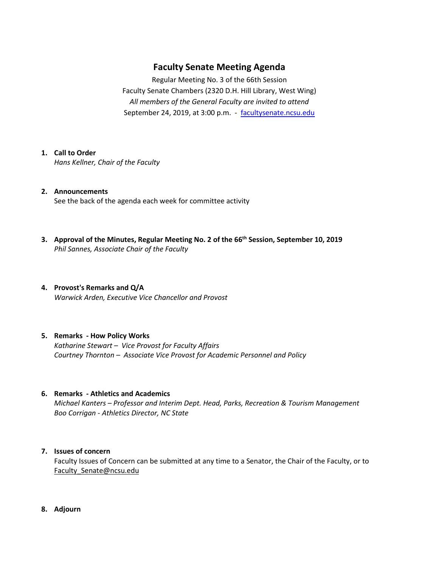## **Faculty Senate Meeting Agenda**

Regular Meeting No. 3 of the 66th Session Faculty Senate Chambers (2320 D.H. Hill Library, West Wing) *All members of the General Faculty are invited to attend* September 24, 2019, at 3:00 p.m. - [facultysenate.ncsu.edu](https://facultysenate.ncsu.edu/)

### **1. Call to Order**

*Hans Kellner, Chair of the Faculty*

- **2. Announcements** See the back of the agenda each week for committee activity
- **3. Approval of the Minutes, Regular Meeting No. 2 of the 66th Session, September 10, 2019** *Phil Sannes, Associate Chair of the Faculty*
- **4. Provost's Remarks and Q/A** *Warwick Arden, Executive Vice Chancellor and Provost*

#### **5. Remarks - How Policy Works**

*Katharine Stewart – Vice Provost for Faculty Affairs Courtney Thornton – Associate Vice Provost for Academic Personnel and Policy*

#### **6. Remarks - Athletics and Academics**

*Michael Kanters – Professor and Interim Dept. Head, Parks, Recreation & Tourism Management Boo Corrigan - Athletics Director, NC State*

#### **7. Issues of concern**

Faculty Issues of Concern can be submitted at any time to a Senator, the Chair of the Faculty, or to [Faculty\\_Senate@ncsu.edu](mailto:Faculty_Senate@ncsu.edu)

**8. Adjourn**